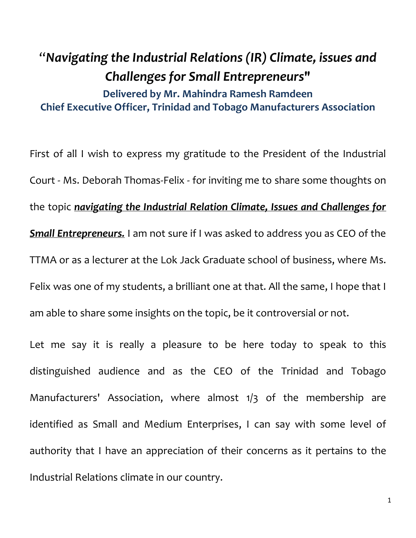## "*Navigating the Industrial Relations (IR) Climate, issues and Challenges for Small Entrepreneurs***" Delivered by Mr. Mahindra Ramesh Ramdeen Chief Executive Officer, Trinidad and Tobago Manufacturers Association**

First of all I wish to express my gratitude to the President of the Industrial Court - Ms. Deborah Thomas-Felix - for inviting me to share some thoughts on the topic *navigating the Industrial Relation Climate, Issues and Challenges for Small Entrepreneurs.* I am not sure if I was asked to address you as CEO of the TTMA or as a lecturer at the Lok Jack Graduate school of business, where Ms. Felix was one of my students, a brilliant one at that. All the same, I hope that I am able to share some insights on the topic, be it controversial or not.

Let me say it is really a pleasure to be here today to speak to this distinguished audience and as the CEO of the Trinidad and Tobago Manufacturers' Association, where almost 1/3 of the membership are identified as Small and Medium Enterprises, I can say with some level of authority that I have an appreciation of their concerns as it pertains to the Industrial Relations climate in our country.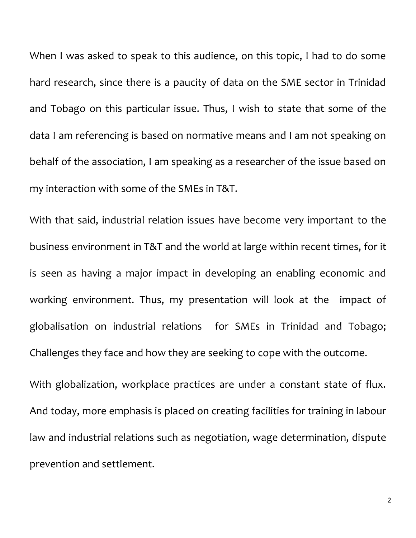When I was asked to speak to this audience, on this topic, I had to do some hard research, since there is a paucity of data on the SME sector in Trinidad and Tobago on this particular issue. Thus, I wish to state that some of the data I am referencing is based on normative means and I am not speaking on behalf of the association, I am speaking as a researcher of the issue based on my interaction with some of the SMEs in T&T.

With that said, industrial relation issues have become very important to the business environment in T&T and the world at large within recent times, for it is seen as having a major impact in developing an enabling economic and working environment. Thus, my presentation will look at the impact of globalisation on industrial relations for SMEs in Trinidad and Tobago; Challenges they face and how they are seeking to cope with the outcome.

With globalization, workplace practices are under a constant state of flux. And today, more emphasis is placed on creating facilities for training in labour law and industrial relations such as negotiation, wage determination, dispute prevention and settlement.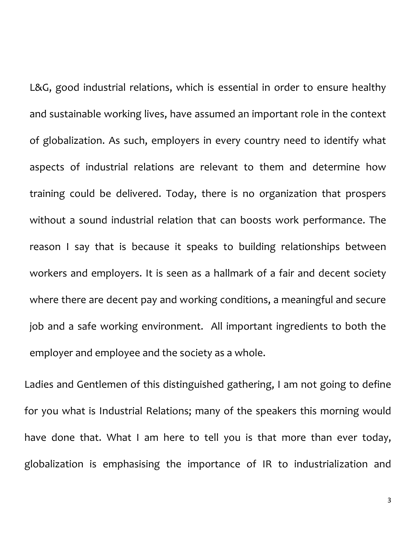L&G, good industrial relations, which is essential in order to ensure healthy and sustainable working lives, have assumed an important role in the context of globalization. As such, employers in every country need to identify what aspects of industrial relations are relevant to them and determine how training could be delivered. Today, there is no organization that prospers without a sound industrial relation that can boosts work performance. The reason I say that is because it speaks to building relationships between workers and employers. It is seen as a hallmark of a fair and decent society where there are decent pay and working conditions, a meaningful and secure job and a safe working environment. All important ingredients to both the employer and employee and the society as a whole.

Ladies and Gentlemen of this distinguished gathering, I am not going to define for you what is Industrial Relations; many of the speakers this morning would have done that. What I am here to tell you is that more than ever today, globalization is emphasising the importance of IR to industrialization and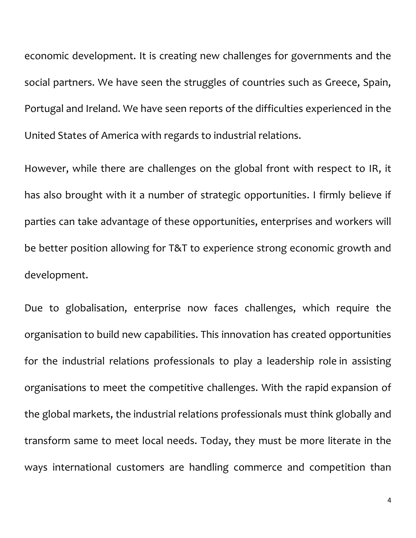economic development. It is creating new challenges for governments and the social partners. We have seen the struggles of countries such as Greece, Spain, Portugal and Ireland. We have seen reports of the difficulties experienced in the United States of America with regards to industrial relations.

However, while there are challenges on the global front with respect to IR, it has also brought with it a number of strategic opportunities. I firmly believe if parties can take advantage of these opportunities, enterprises and workers will be better position allowing for T&T to experience strong economic growth and development.

Due to globalisation, enterprise now faces challenges, which require the organisation to build new capabilities. This innovation has created opportunities for the industrial relations professionals to play a leadership role in assisting organisations to meet the competitive challenges. With the rapid expansion of the global markets, the industrial relations professionals must think globally and transform same to meet local needs. Today, they must be more literate in the ways international customers are handling commerce and competition than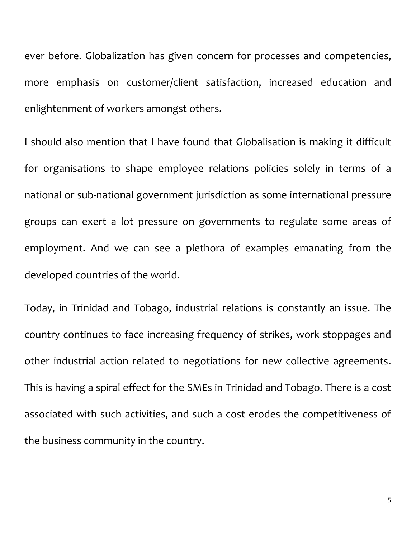ever before. Globalization has given concern for processes and competencies, more emphasis on customer/client satisfaction, increased education and enlightenment of workers amongst others.

I should also mention that I have found that Globalisation is making it difficult for organisations to shape employee relations policies solely in terms of a national or sub-national government jurisdiction as some international pressure groups can exert a lot pressure on governments to regulate some areas of employment. And we can see a plethora of examples emanating from the developed countries of the world.

Today, in Trinidad and Tobago, industrial relations is constantly an issue. The country continues to face increasing frequency of strikes, work stoppages and other industrial action related to negotiations for new collective agreements. This is having a spiral effect for the SMEs in Trinidad and Tobago. There is a cost associated with such activities, and such a cost erodes the competitiveness of the business community in the country.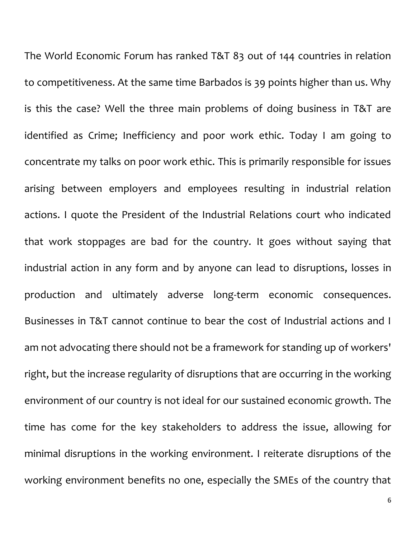The World Economic Forum has ranked T&T 83 out of 144 countries in relation to competitiveness. At the same time Barbados is 39 points higher than us. Why is this the case? Well the three main problems of doing business in T&T are identified as Crime; Inefficiency and poor work ethic. Today I am going to concentrate my talks on poor work ethic. This is primarily responsible for issues arising between employers and employees resulting in industrial relation actions. I quote the President of the Industrial Relations court who indicated that work stoppages are bad for the country. It goes without saying that industrial action in any form and by anyone can lead to disruptions, losses in production and ultimately adverse long-term economic consequences. Businesses in T&T cannot continue to bear the cost of Industrial actions and I am not advocating there should not be a framework for standing up of workers' right, but the increase regularity of disruptions that are occurring in the working environment of our country is not ideal for our sustained economic growth. The time has come for the key stakeholders to address the issue, allowing for minimal disruptions in the working environment. I reiterate disruptions of the working environment benefits no one, especially the SMEs of the country that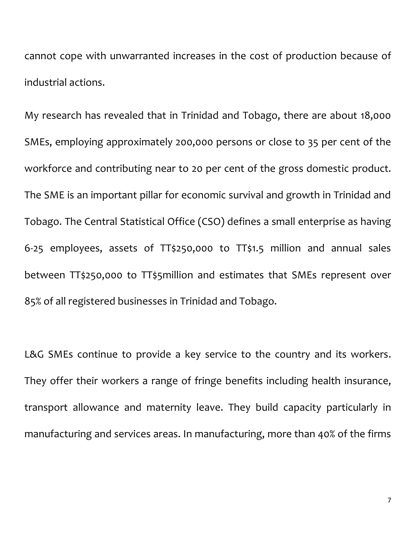cannot cope with unwarranted increases in the cost of production because of industrial actions.

My research has revealed that in Trinidad and Tobago, there are about 18,000 SMEs, employing approximately 200,000 persons or close to 35 per cent of the workforce and contributing near to 20 per cent of the gross domestic product. The SME is an important pillar for economic survival and growth in Trinidad and Tobago. The Central Statistical Office (CSO) defines a small enterprise as having 6-25 employees, assets of TT\$250,000 to TT\$1.5 million and annual sales between TT\$250,000 to TT\$5million and estimates that SMEs represent over 85% of all registered businesses in Trinidad and Tobago.

L&G SMEs continue to provide a key service to the country and its workers. They offer their workers a range of fringe benefits including health insurance, transport allowance and maternity leave. They build capacity particularly in manufacturing and services areas. In manufacturing, more than 40% of the firms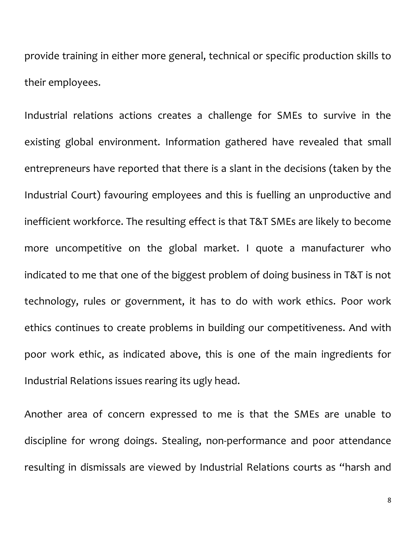provide training in either more general, technical or specific production skills to their employees.

Industrial relations actions creates a challenge for SMEs to survive in the existing global environment. Information gathered have revealed that small entrepreneurs have reported that there is a slant in the decisions (taken by the Industrial Court) favouring employees and this is fuelling an unproductive and inefficient workforce. The resulting effect is that T&T SMEs are likely to become more uncompetitive on the global market. I quote a manufacturer who indicated to me that one of the biggest problem of doing business in T&T is not technology, rules or government, it has to do with work ethics. Poor work ethics continues to create problems in building our competitiveness. And with poor work ethic, as indicated above, this is one of the main ingredients for Industrial Relations issues rearing its ugly head.

Another area of concern expressed to me is that the SMEs are unable to discipline for wrong doings. Stealing, non-performance and poor attendance resulting in dismissals are viewed by Industrial Relations courts as "harsh and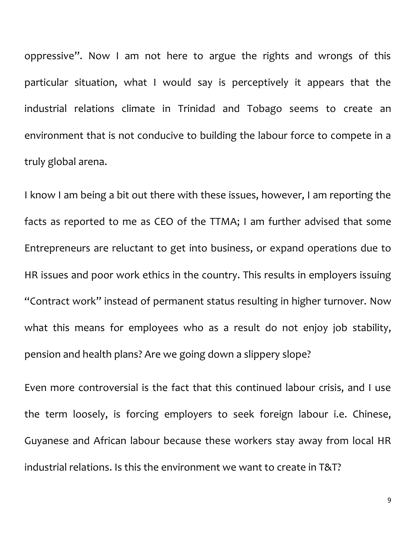oppressive". Now I am not here to argue the rights and wrongs of this particular situation, what I would say is perceptively it appears that the industrial relations climate in Trinidad and Tobago seems to create an environment that is not conducive to building the labour force to compete in a truly global arena.

I know I am being a bit out there with these issues, however, I am reporting the facts as reported to me as CEO of the TTMA; I am further advised that some Entrepreneurs are reluctant to get into business, or expand operations due to HR issues and poor work ethics in the country. This results in employers issuing "Contract work" instead of permanent status resulting in higher turnover. Now what this means for employees who as a result do not enjoy job stability, pension and health plans? Are we going down a slippery slope?

Even more controversial is the fact that this continued labour crisis, and I use the term loosely, is forcing employers to seek foreign labour i.e. Chinese, Guyanese and African labour because these workers stay away from local HR industrial relations. Is this the environment we want to create in T&T?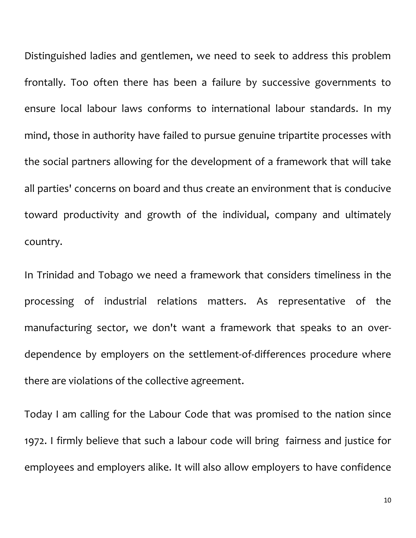Distinguished ladies and gentlemen, we need to seek to address this problem frontally. Too often there has been a failure by successive governments to ensure local labour laws conforms to international labour standards. In my mind, those in authority have failed to pursue genuine tripartite processes with the social partners allowing for the development of a framework that will take all parties' concerns on board and thus create an environment that is conducive toward productivity and growth of the individual, company and ultimately country.

In Trinidad and Tobago we need a framework that considers timeliness in the processing of industrial relations matters. As representative of the manufacturing sector, we don't want a framework that speaks to an overdependence by employers on the settlement-of-differences procedure where there are violations of the collective agreement.

Today I am calling for the Labour Code that was promised to the nation since 1972. I firmly believe that such a labour code will bring fairness and justice for employees and employers alike. It will also allow employers to have confidence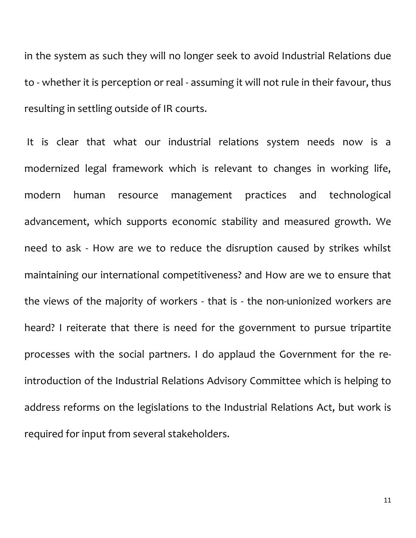in the system as such they will no longer seek to avoid Industrial Relations due to - whether it is perception or real - assuming it will not rule in their favour, thus resulting in settling outside of IR courts.

It is clear that what our industrial relations system needs now is a modernized legal framework which is relevant to changes in working life, modern human resource management practices and technological advancement, which supports economic stability and measured growth. We need to ask - How are we to reduce the disruption caused by strikes whilst maintaining our international competitiveness? and How are we to ensure that the views of the majority of workers - that is - the non-unionized workers are heard? I reiterate that there is need for the government to pursue tripartite processes with the social partners. I do applaud the Government for the reintroduction of the Industrial Relations Advisory Committee which is helping to address reforms on the legislations to the Industrial Relations Act, but work is required for input from several stakeholders.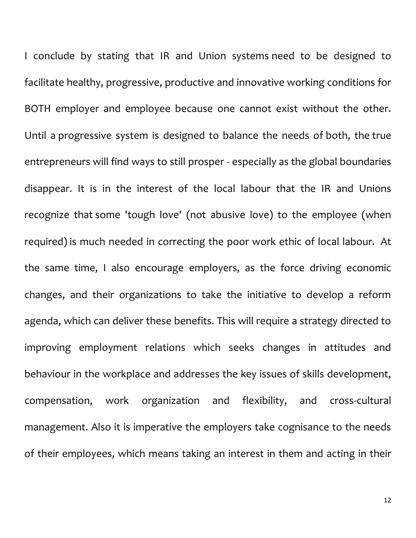I conclude by stating that IR and Union systems need to be designed to facilitate healthy, progressive, productive and innovative working conditions for BOTH employer and employee because one cannot exist without the other. Until a progressive system is designed to balance the needs of both, the true entrepreneurs will find ways to still prosper - especially as the global boundaries disappear. It is in the interest of the local labour that the IR and Unions recognize that some 'tough love' (not abusive love) to the employee (when required) is much needed in correcting the poor work ethic of local labour. At the same time, I also encourage employers, as the force driving economic changes, and their organizations to take the initiative to develop a reform agenda, which can deliver these benefits. This will require a strategy directed to improving employment relations which seeks changes in attitudes and behaviour in the workplace and addresses the key issues of skills development, compensation, work organization and flexibility, and cross-cultural management. Also it is imperative the employers take cognisance to the needs of their employees, which means taking an interest in them and acting in their